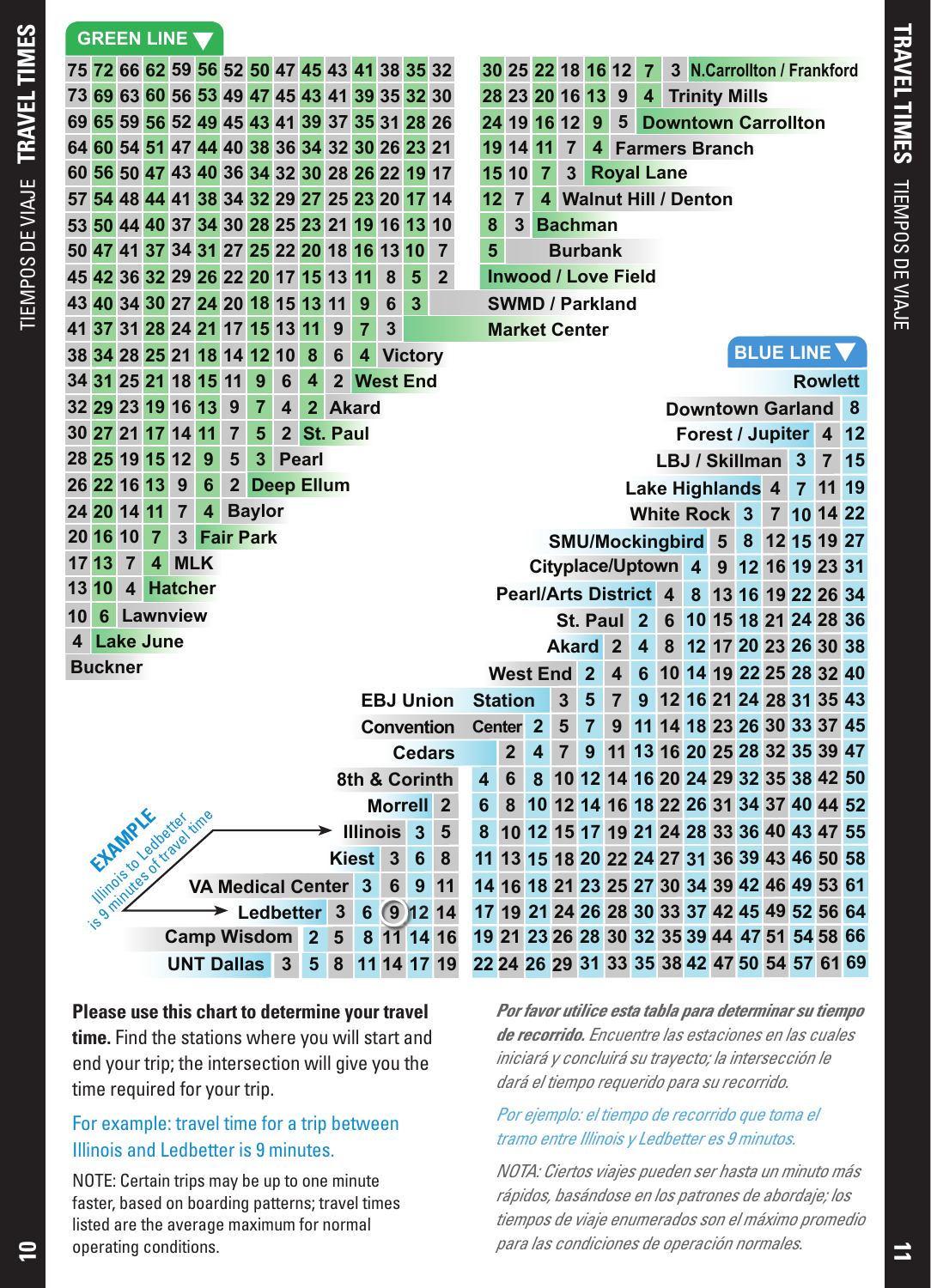TIEMPOS DE VIAJE **TRAVEL TIMES**

TIEMPOS DE VIAJE TRAVEL TIMES

|                                                                                                                                                               |          |                   |                |                |                                                                                                                                                                   | 75 72 66 62 59 56 52 50 47 45 43 41 38 35 32 |                |   |                                                                  |              |                |           |   |                |                     |                                                                |                                            | 30 25 22 18 16 12          |                                                                    |                         | $\overline{7}$ |                |                                        |                                              |                                              |  | 3 N.Carrollton / Frankford                   |         |      |  |  |
|---------------------------------------------------------------------------------------------------------------------------------------------------------------|----------|-------------------|----------------|----------------|-------------------------------------------------------------------------------------------------------------------------------------------------------------------|----------------------------------------------|----------------|---|------------------------------------------------------------------|--------------|----------------|-----------|---|----------------|---------------------|----------------------------------------------------------------|--------------------------------------------|----------------------------|--------------------------------------------------------------------|-------------------------|----------------|----------------|----------------------------------------|----------------------------------------------|----------------------------------------------|--|----------------------------------------------|---------|------|--|--|
|                                                                                                                                                               |          |                   |                |                |                                                                                                                                                                   | 73 69 63 60 56 53 49 47 45 43 41 39 35 32 30 |                |   |                                                                  |              |                |           |   |                |                     |                                                                |                                            | 28 23 20 16 13             |                                                                    | 9                       | $\overline{4}$ |                |                                        |                                              | <b>Trinity Mills</b>                         |  |                                              |         |      |  |  |
|                                                                                                                                                               |          |                   |                |                |                                                                                                                                                                   | 69 65 59 56 52 49 45 43 41 39 37 35 31 28 26 |                |   |                                                                  |              |                |           |   |                |                     |                                                                |                                            | 24 19 16 12                | 9 <sup>°</sup>                                                     | $5^{\circ}$             |                |                | <b>Downtown Carrollton</b>             |                                              |                                              |  |                                              |         |      |  |  |
|                                                                                                                                                               |          |                   |                |                |                                                                                                                                                                   | 64 60 54 51 47 44 40 38 36 34 32 30 26 23 21 |                |   |                                                                  |              |                |           |   |                |                     |                                                                | 19 14 11                                   |                            | $\overline{7}$<br>$\overline{\mathbf{4}}$<br><b>Farmers Branch</b> |                         |                |                |                                        |                                              |                                              |  |                                              |         |      |  |  |
|                                                                                                                                                               |          |                   |                |                |                                                                                                                                                                   | 60 56 50 47 43 40 36 34 32 30 28 26 22 19 17 |                |   |                                                                  |              |                |           |   |                |                     | <b>Royal Lane</b><br>$\overline{7}$<br>3 <sup>1</sup><br>15 10 |                                            |                            |                                                                    |                         |                |                |                                        |                                              |                                              |  |                                              |         |      |  |  |
|                                                                                                                                                               |          |                   |                |                |                                                                                                                                                                   | 57 54 48 44 41 38 34 32 29 27 25 23 20 17 14 |                |   |                                                                  |              |                |           |   |                | 12                  | $\overline{7}$                                                 | $\overline{\mathbf{4}}$                    |                            | <b>Walnut Hill / Denton</b>                                        |                         |                |                |                                        |                                              |                                              |  |                                              |         |      |  |  |
|                                                                                                                                                               |          |                   |                |                |                                                                                                                                                                   | 53 50 44 40 37 34 30 28 25 23 21 19 16 13 10 |                |   |                                                                  |              |                |           |   |                | 8                   | 3                                                              |                                            | <b>Bachman</b>             |                                                                    |                         |                |                |                                        |                                              |                                              |  |                                              |         |      |  |  |
|                                                                                                                                                               |          |                   |                |                |                                                                                                                                                                   | 50 47 41 37 34 31 27 25 22 20 18 16 13 10    |                |   |                                                                  |              |                |           |   | $\overline{7}$ | 5                   | <b>Burbank</b>                                                 |                                            |                            |                                                                    |                         |                |                |                                        |                                              |                                              |  |                                              |         |      |  |  |
|                                                                                                                                                               |          |                   |                |                |                                                                                                                                                                   | 45 42 36 32 29 26 22 20 17 15 13 11          |                |   |                                                                  |              |                | 8         | 5 | $\overline{2}$ |                     |                                                                |                                            | <b>Inwood / Love Field</b> |                                                                    |                         |                |                |                                        |                                              |                                              |  |                                              |         |      |  |  |
|                                                                                                                                                               |          |                   |                |                |                                                                                                                                                                   | 43 40 34 30 27 24 20 18 15 13 11             |                |   |                                                                  |              | 9              | 6         | 3 |                |                     |                                                                |                                            | <b>SWMD / Parkland</b>     |                                                                    |                         |                |                |                                        |                                              |                                              |  |                                              |         |      |  |  |
|                                                                                                                                                               |          |                   |                |                |                                                                                                                                                                   | 41 37 31 28 24 21 17 15 13 11                |                |   |                                                                  | 9            | $\overline{7}$ | 3         |   |                |                     |                                                                | <b>Market Center</b><br><b>BLUE LINE V</b> |                            |                                                                    |                         |                |                |                                        |                                              |                                              |  |                                              |         |      |  |  |
|                                                                                                                                                               |          |                   |                |                |                                                                                                                                                                   | 38 34 28 25 21 18 14 12 10                   |                |   | 8                                                                | 6            |                | 4 Victory |   |                |                     |                                                                |                                            |                            |                                                                    |                         |                |                |                                        |                                              |                                              |  |                                              |         |      |  |  |
|                                                                                                                                                               |          |                   |                |                |                                                                                                                                                                   | 34 31 25 21 18 15 11                         | 9              | 6 | $\overline{\mathbf{4}}$                                          |              |                |           |   |                |                     |                                                                |                                            |                            |                                                                    |                         |                | <b>Rowlett</b> |                                        |                                              |                                              |  |                                              |         |      |  |  |
|                                                                                                                                                               |          | 32 29 23 19 16 13 |                |                |                                                                                                                                                                   | 9                                            | $\overline{7}$ | 4 | 2 West End<br>2 Akard<br><b>Downtown Garland 8</b><br>2 St. Paul |              |                |           |   |                |                     |                                                                |                                            |                            |                                                                    |                         |                |                |                                        |                                              |                                              |  |                                              |         |      |  |  |
|                                                                                                                                                               |          | 30 27 21 17 14 11 |                |                |                                                                                                                                                                   | $\overline{7}$                               | 5              |   |                                                                  |              |                |           |   |                |                     | Forest / Jupiter 4<br>LBJ / Skillman 3                         |                                            |                            |                                                                    |                         |                |                |                                        |                                              |                                              |  |                                              |         | 12   |  |  |
|                                                                                                                                                               |          | 28 25 19 15 12    |                |                | 9                                                                                                                                                                 | 5                                            | 3              |   | <b>Pearl</b>                                                     |              |                |           |   |                |                     |                                                                |                                            |                            |                                                                    |                         |                |                |                                        |                                              |                                              |  |                                              |         | 7 15 |  |  |
|                                                                                                                                                               |          | 26 22 16 13       |                | 9              | 6                                                                                                                                                                 |                                              |                |   |                                                                  | 2 Deep Ellum |                |           |   |                |                     |                                                                |                                            |                            |                                                                    |                         |                |                |                                        |                                              | Lake Highlands 4                             |  |                                              | 7 11 19 |      |  |  |
|                                                                                                                                                               |          | 24 20 14 11       |                | $\overline{7}$ | $\overline{\mathbf{4}}$                                                                                                                                           |                                              | <b>Baylor</b>  |   |                                                                  |              |                |           |   |                |                     |                                                                |                                            |                            |                                                                    |                         |                |                |                                        |                                              |                                              |  | White Rock 3 7 10 14 22                      |         |      |  |  |
|                                                                                                                                                               | 20 16 10 |                   | $\overline{7}$ |                |                                                                                                                                                                   |                                              |                |   |                                                                  |              |                |           |   |                |                     |                                                                |                                            |                            |                                                                    |                         |                |                |                                        |                                              |                                              |  |                                              |         |      |  |  |
|                                                                                                                                                               | 17 13    | $\overline{7}$    | $\overline{4}$ |                | <b>3 Fair Park</b><br>SMU/Mockingbird 5 8 12 15 19 27<br><b>MLK</b><br>Cityplace/Uptown 4 9 12 16 19 23 31<br><b>Pearl/Arts District 4</b><br>8 13 16 19 22 26 34 |                                              |                |   |                                                                  |              |                |           |   |                |                     |                                                                |                                            |                            |                                                                    |                         |                |                |                                        |                                              |                                              |  |                                              |         |      |  |  |
| 4 Hatcher<br>13 10                                                                                                                                            |          |                   |                |                |                                                                                                                                                                   |                                              |                |   |                                                                  |              |                |           |   |                |                     |                                                                |                                            |                            |                                                                    |                         |                |                |                                        |                                              |                                              |  |                                              |         |      |  |  |
| 10                                                                                                                                                            |          | <b>6 Lawnview</b> |                |                |                                                                                                                                                                   |                                              |                |   |                                                                  |              |                |           |   |                |                     |                                                                |                                            |                            |                                                                    | St. Paul 2              |                | 6              |                                        |                                              |                                              |  | 10 15 18 21 24 28 36                         |         |      |  |  |
|                                                                                                                                                               |          | 4 Lake June       |                |                |                                                                                                                                                                   |                                              |                |   |                                                                  |              |                |           |   |                |                     |                                                                |                                            | <b>Akard</b>               |                                                                    | $\mathbf{2}$            | $\overline{4}$ | 8              |                                        |                                              |                                              |  | 12 17 20 23 26 30 38                         |         |      |  |  |
|                                                                                                                                                               |          |                   |                |                |                                                                                                                                                                   |                                              |                |   |                                                                  |              |                |           |   |                |                     |                                                                |                                            | <b>West End 2</b>          |                                                                    | $\overline{\mathbf{4}}$ | 6              |                |                                        |                                              |                                              |  | 10 14 19 22 25 28 32 40                      |         |      |  |  |
| <b>Buckner</b><br><b>EBJ Union</b>                                                                                                                            |          |                   |                |                |                                                                                                                                                                   |                                              |                |   |                                                                  |              | <b>Station</b> |           |   | 3              | 5                   | $\overline{7}$                                                 | 9                                          |                            |                                                                    |                         |                |                | 12 16 21 24 28 31 35 43                |                                              |                                              |  |                                              |         |      |  |  |
|                                                                                                                                                               |          |                   |                |                |                                                                                                                                                                   |                                              |                |   |                                                                  |              |                |           |   |                | Center <sub>2</sub> |                                                                |                                            | 5 <sup>5</sup>             | $\overline{7}$                                                     | 9                       |                |                |                                        |                                              |                                              |  | 11 14 18 23 26 30 33 37 45                   |         |      |  |  |
|                                                                                                                                                               |          |                   |                |                |                                                                                                                                                                   |                                              |                |   |                                                                  |              |                |           |   |                |                     | 2 <sup>1</sup>                                                 | $\overline{\mathbf{4}}$                    | $\overline{7}$             | 9                                                                  |                         |                |                |                                        |                                              |                                              |  | 11 13 16 20 25 28 32 35 39 47                |         |      |  |  |
|                                                                                                                                                               |          |                   |                |                |                                                                                                                                                                   |                                              |                |   |                                                                  |              |                |           |   |                | 4                   | 6                                                              | 8                                          |                            |                                                                    |                         |                |                |                                        |                                              |                                              |  | 10 12 14 16 20 24 29 32 35 38 42 50          |         |      |  |  |
| 8th & Corinth                                                                                                                                                 |          |                   |                |                |                                                                                                                                                                   |                                              |                |   |                                                                  |              | 6              | 8         |   |                |                     |                                                                |                                            |                            |                                                                    |                         |                |                | 10 12 14 16 18 22 26 31 34 37 40 44 52 |                                              |                                              |  |                                              |         |      |  |  |
|                                                                                                                                                               |          |                   |                |                |                                                                                                                                                                   |                                              |                |   |                                                                  |              |                |           |   |                | 8                   |                                                                |                                            |                            |                                                                    |                         |                |                |                                        |                                              |                                              |  | 10 12 15 17 19 21 24 28 33 36 40 43 47 55    |         |      |  |  |
| <b>Convention</b><br><b>Cedars</b><br><b>Morrell</b><br>$\mathbf{2}$<br>is of closed of traditional circle<br><b>Illinois</b><br>$\overline{\mathbf{3}}$<br>5 |          |                   |                |                |                                                                                                                                                                   |                                              |                |   |                                                                  |              |                |           |   |                |                     |                                                                |                                            |                            |                                                                    |                         |                |                |                                        |                                              | 11 13 15 18 20 22 24 27 31 36 39 43 46 50 58 |  |                                              |         |      |  |  |
| <b>Kiest</b><br>6<br>8<br>3<br>$\overline{\mathbf{3}}$<br><b>VA Medical Center</b><br>6<br>9<br>11                                                            |          |                   |                |                |                                                                                                                                                                   |                                              |                |   |                                                                  |              |                |           |   |                |                     |                                                                |                                            |                            |                                                                    |                         |                |                |                                        | 14 16 18 21 23 25 27 30 34 39 42 46 49 53 61 |                                              |  |                                              |         |      |  |  |
|                                                                                                                                                               |          |                   |                |                |                                                                                                                                                                   |                                              |                |   |                                                                  |              |                |           |   |                |                     |                                                                |                                            |                            |                                                                    |                         |                |                |                                        | 17 19 21 24 26 28 30 33 37 42 45 49 52 56 64 |                                              |  |                                              |         |      |  |  |
| 6 9 12 14<br>$\rightarrow$ Ledbetter<br>3 <sup>1</sup><br>8 11 14 16<br>Camp Wisdom 2<br>5                                                                    |          |                   |                |                |                                                                                                                                                                   |                                              |                |   |                                                                  |              |                |           |   |                |                     |                                                                |                                            |                            |                                                                    |                         |                |                |                                        | 19 21 23 26 28 30 32 35 39 44 47 51 54 58 66 |                                              |  |                                              |         |      |  |  |
|                                                                                                                                                               |          |                   |                |                |                                                                                                                                                                   |                                              |                |   | 5                                                                | 8            |                |           |   | 11 14 17 19    |                     |                                                                |                                            |                            |                                                                    |                         |                |                |                                        |                                              |                                              |  | 22 24 26 29 31 33 35 38 42 47 50 54 57 61 69 |         |      |  |  |
|                                                                                                                                                               |          |                   |                |                |                                                                                                                                                                   | <b>UNT Dallas</b> 3                          |                |   |                                                                  |              |                |           |   |                |                     |                                                                |                                            |                            |                                                                    |                         |                |                |                                        |                                              |                                              |  |                                              |         |      |  |  |

**Please use this chart to determine your travel time.** Find the stations where you will start and end your trip; the intersection will give you the time required for your trip.

## For example: travel time for a trip between Illinois and Ledbetter is 9 minutes.

NOTE: Certain trips may be up to one minute faster, based on boarding patterns; travel times listed are the average maximum for normal operating conditions.

*Por favor utilice esta tabla para determinar su tiempo de recorrido. Encuentre las estaciones en las cuales iniciará y concluirá su trayecto; la intersección le dará el tiempo requerido para su recorrido.* 

## *Por ejemplo: el tiempo de recorrido que toma el tramo entre Illinois y Ledbetter es 9 minutos.*

*NOTA: Ciertos viajes pueden ser hasta un minuto más rápidos, basándose en los patrones de abordaje; los tiempos de viaje enumerados son el máximo promedio para las condiciones de operación normales.*